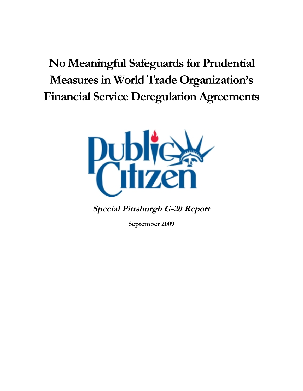# **No Meaningful Safeguards for Prudential Measures in World Trade Organization's Financial Service Deregulation Agreements**



**Special Pittsburgh G-20 Report**

**September 2009**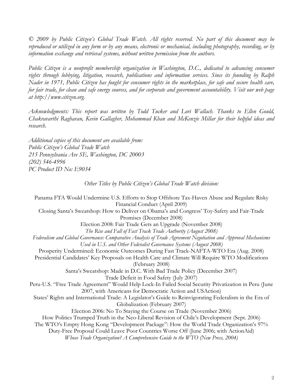*© 2009 by Public Citizen's Global Trade Watch. All rights reserved. No part of this document may be reproduced or utilized in any form or by any means, electronic or mechanical, including photography, recording, or by information exchange and retrieval systems, without written permission from the authors.*

*Public Citizen is a nonprofit membership organization in Washington, D.C., dedicated to advancing consumer rights through lobbying, litigation, research, publications and information services. Since its founding by Ralph Nader in 1971, Public Citizen has fought for consumer rights in the marketplace, for safe and secure health care, for fair trade, for clean and safe energy sources, and for corporate and government accountability. Visit our web page at http://www.citizen.org.*

*Acknowledgments: This report was written by Todd Tucker and Lori Wallach. Thanks to Ellen Gould, Chakravarthi Raghavan, Kevin Gallagher, Mohammad Khan and McKenzie Millar for their helpful ideas and research.*

*Additional copies of this document are available from: Public Citizen's Global Trade Watch 215 Pennsylvania Ave SE, Washington, DC 20003 (202) 546-4996 PC Product ID No: E9034*

#### *Other Titles by Public Citizen's Global Trade Watch division:*

Panama FTA Would Undermine U.S. Efforts to Stop Offshore Tax-Haven Abuse and Regulate Risky Financial Conduct (April 2009) Closing Santa's Sweatshop: How to Deliver on Obama's and Congress' Toy-Safety and Fair-Trade Promises (December 2008) Election 2008: Fair Trade Gets an Upgrade (November 2008) *The Rise and Fall of Fast Track Trade Authority (August 2008) Federalism and Global Governance: Comparative Analysis of Trade Agreement Negotiation and Approval Mechanisms Used in U.S. and Other Federalist Governance Systems (August 2008)* Prosperity Undermined: Economic Outcomes During Fast Track-NAFTA-WTO Era (Aug. 2008) Presidential Candidates' Key Proposals on Health Care and Climate Will Require WTO Modifications (February 2008) Santa's Sweatshop: Made in D.C. With Bad Trade Policy (December 2007) Trade Deficit in Food Safety (July 2007) Peru-U.S. "Free Trade Agreement" Would Help Lock-In Failed Social Security Privatization in Peru (June 2007, with Americans for Democratic Action and USAction) States' Rights and International Trade: A Legislator's Guide to Reinvigorating Federalism in the Era of Globalization (February 2007) Election 2006: No To Staying the Course on Trade (November 2006) How Politics Trumped Truth in the Neo-Liberal Revision of Chile's Development (Sept. 2006) The WTO's Empty Hong Kong "Development Package": How the World Trade Organization's 97% Duty-Free Proposal Could Leave Poor Countries Worse Off (June 2006; with ActionAid) *Whose Trade Organization? A Comprehensive Guide to the WTO (New Press, 2004)*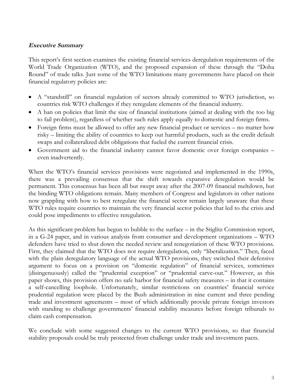## **Executive Summary**

This report's first section examines the existing financial services deregulation requirements of the World Trade Organization (WTO), and the proposed expansion of these through the "Doha Round" of trade talks. Just some of the WTO limitations many governments have placed on their financial regulatory policies are:

- A "standstill" on financial regulation of sectors already committed to WTO jurisdiction, so countries risk WTO challenges if they reregulate elements of the financial industry.
- A ban on policies that limit the size of financial institutions (aimed at dealing with the too big to fail problem), regardless of whether such rules apply equally to domestic and foreign firms.
- Foreign firms must be allowed to offer any new financial product or services no matter how risky – limiting the ability of countries to keep out harmful products, such as the credit default swaps and collateralized debt obligations that fueled the current financial crisis.
- Government aid to the financial industry cannot favor domestic over foreign companies even inadvertently.

When the WTO's financial services provisions were negotiated and implemented in the 1990s, there was a prevailing consensus that the shift towards expansive deregulation would be permanent. This consensus has been all but swept away after the 2007-09 financial meltdown, but the binding WTO obligations remain. Many members of Congress and legislators in other nations now grappling with how to best reregulate the financial sector remain largely unaware that these WTO rules require countries to maintain the very financial sector policies that led to the crisis and could pose impediments to effective reregulation.

As this significant problem has begun to bubble to the surface – in the Stiglitz Commission report, in a G-24 paper, and in various analysis from consumer and development organizations – WTO defenders have tried to shut down the needed review and renegotiation of these WTO provisions. First, they claimed that the WTO does not require deregulation, only "liberalization." Then, faced with the plain deregulatory language of the actual WTO provisions, they switched their defensive argument to focus on a provision on "domestic regulation" of financial services, sometimes (disingenuously) called the "prudential exception" or "prudential carve-out." However, as this paper shows, this provision offers no safe harbor for financial safety measures – in that it contains a self-cancelling loophole. Unfortunately, similar restrictions on countries' financial service prudential regulation were placed by the Bush administration in nine current and three pending trade and investment agreements – most of which additionally provide private foreign investors with standing to challenge governments' financial stability measures before foreign tribunals to claim cash compensation.

We conclude with some suggested changes to the current WTO provisions, so that financial stability proposals could be truly protected from challenge under trade and investment pacts.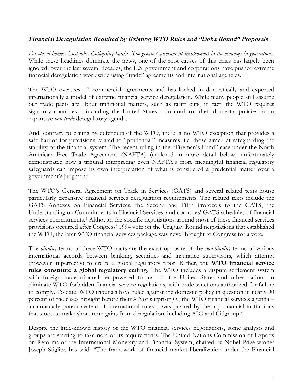## Financial Deregulation Required by Existing WTO Rules and "Doha Round" Proposals

*Foreclosed homes. Lost jobs. Collapsing banks. The greatest government involvement in the economy in generations.* While these headlines dominate the news, one of the root causes of this crisis has largely been ignored: over the last several decades, the U.S. government and corporations have pushed extreme financial deregulation worldwide using "trade" agreements and international agencies.

The WTO oversees 17 commercial agreements and has locked in domestically and exported internationally a model of extreme financial service deregulation. While many people still assume our trade pacts are about traditional matters, such as tariff cuts, in fact, the WTO requires signatory countries – including the United States – to conform their domestic policies to an expansive *non-trade* deregulatory agenda.

And, contrary to claims by defenders of the WTO, there is no WTO exception that provides a safe harbor for provisions related to "prudential" measures, i.e. those aimed at safeguarding the stability of the financial system. The recent ruling in the "Fireman's Fund" case under the North American Free Trade Agreement (NAFTA) (explored in more detail below) unfortunately demonstrated how a tribunal interpreting even NAFTA's more meaningful financial regulatory safeguards can impose its own interpretation of what is considered a prudential matter over a government's judgment.

The WTO's General Agreement on Trade in Services (GATS) and several related texts house particularly expansive financial services deregulation requirements. The related texts include the GATS Annexes on Financial Services, the Second and Fifth Protocols to the GATS, the Understanding on Commitments in Financial Services, and countries' GATS schedules of financial services commitments.<sup>[1](#page-21-0)</sup> Although the specific negotiations around most of these financial services provisions occurred after Congress' 1994 vote on the Uruguay Round negotiations that established the WTO, the later WTO financial services package was never brought to Congress for a vote.

The *binding* terms of these WTO pacts are the exact opposite of the *non-binding* terms of various international accords between banking, securities and insurance supervisors, which attempt (however imperfectly) to create a global regulatory floor. Rather, **the WTO financial service rules constitute a global regulatory ceiling**. The WTO includes a dispute settlement system with foreign trade tribunals empowered to instruct the United States and other nations to eliminate WTO-forbidden financial service regulations, with trade sanctions authorized for failure to comply. To date, WTO tribunals have ruled against the domestic policy in question in nearly 90 percent of the cases brought before them.[2](#page-21-1) Not surprisingly, the WTO financial services agenda – an unusually potent system of international rules – was pushed by the top financial institutions that stood to make short-term gains from deregulation, including AIG and Citigroup.[3](#page-21-2)

Despite the little-known history of the WTO financial services negotiations, some analysts and groups are starting to take note of its requirements. The United Nations Commission of Experts on Reforms of the International Monetary and Financial System, chaired by Nobel Prize winner Joseph Stiglitz, has said: "The framework of financial market liberalization under the Financial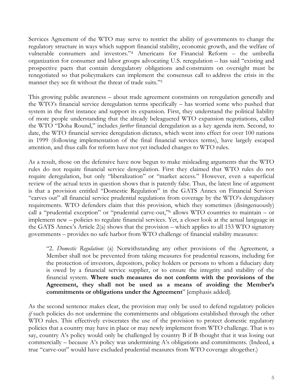Services Agreement of the WTO may serve to restrict the ability of governments to change the regulatory structure in ways which support financial stability, economic growth, and the welfare of vulnerable consumers and investors." [4](#page-21-3) Americans for Financial Reform – the umbrella organization for consumer and labor groups advocating U.S. reregulation – has said "existing and prospective pacts that contain deregulatory obligations and constraints on oversight must be renegotiated so that policymakers can implement the consensus call to address the crisis in the manner they see fit without the threat of trade suits."[5](#page-21-4)

This growing public awareness – about trade agreement constraints on reregulation generally and the WTO's financial service deregulation terms specifically – has worried some who pushed that system in the first instance and support its expansion. First, they understand the political liability of more people understanding that the already beleaguered WTO expansion negotiations, called the WTO "Doha Round," includes *further* financial deregulation as a key agenda item. Second, to date, the WTO financial service deregulation dictates, which went into effect for over 100 nations in 1999 (following implementation of the final financial services terms), have largely escaped attention, and thus calls for reform have not yet included changes to WTO rules.

As a result, those on the defensive have now begun to make misleading arguments that the WTO rules do not require financial service deregulation. First they claimed that WTO rules do not require deregulation, but only "liberalization" or "market access." However, even a superficial review of the actual texts in question shows that is patently false. Thus, the latest line of argument is that a provision entitled "Domestic Regulation" in the GATS Annex on Financial Services "carves out" all financial service prudential regulations from coverage by the WTO's deregulatory requirements. WTO defenders claim that this provision, which they sometimes (disingenuously) call a "prudential exception" or "prudential carve-out," [6](#page-21-5) allows WTO countries to maintain – or implement new – policies to regulate financial services. Yet, a closer look at the actual language in the GATS Annex's Article 2(a) shows that the provision – which applies to all 153 WTO signatory governments – provides no safe harbor from WTO challenge of financial stability measures:

"2. *Domestic Regulation:* (a) Notwithstanding any other provisions of the Agreement, a Member shall not be prevented from taking measures for prudential reasons, including for the protection of investors, depositors, policy holders or persons to whom a fiduciary duty is owed by a financial service supplier, or to ensure the integrity and stability of the financial system. **Where such measures do not conform with the provisions of the Agreement, they shall not be used as a means of avoiding the Member's commitments or obligations under the Agreement**" [emphasis added].

As the second sentence makes clear, the provision may only be used to defend regulatory policies *if* such policies do not undermine the commitments and obligations established through the other WTO rules. This effectively eviscerates the use of the provision to protect domestic regulatory policies that a country may have in place or may newly implement from WTO challenge. That is to say, country A's policy would only be challenged by country B if B thought that it was losing out commercially – because A's policy was undermining A's obligations and commitments. (Indeed, a true "carve-out" would have excluded prudential measures from WTO coverage altogether.)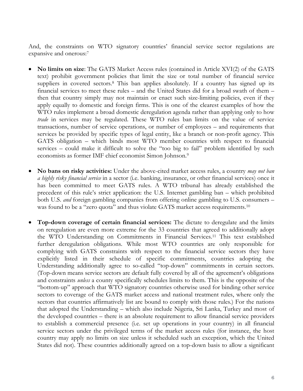And, the constraints on WTO signatory countries' financial service sector regulations are expansive and onerous: [7](#page-21-6)

- **No limits on size**: The GATS Market Access rules (contained in Article XVI(2) of the GATS text) prohibit government policies that limit the size or total number of financial service suppliers in covered sectors.<sup>[8](#page-21-7)</sup> This ban applies absolutely. If a country has signed up its financial services to meet these rules – and the United States did for a broad swath of them – then that country simply may not maintain or enact such size-limiting policies, even if they apply equally to domestic and foreign firms. This is one of the clearest examples of how the WTO rules implement a broad domestic deregulation agenda rather than applying only to how *trade* in services may be regulated. These WTO rules ban limits on the value of service transactions, number of service operations, or number of employees – and requirements that services be provided by specific types of legal entity, like a branch or non-profit agency. This GATS obligation – which binds most WTO member countries with respect to financial services – could make it difficult to solve the "too big to fail" problem identified by such economists as former IMF chief economist Simon Johnson.[9](#page-21-8)
- **No bans on risky activities:** Under the above-cited market access rules, a country *may not ban a highly risky financial service* in a sector (i.e. banking, insurance, or other financial services) once it has been committed to meet GATS rules. A WTO tribunal has already established the precedent of this rule's strict application: the U.S. Internet gambling ban – which prohibited both U.S. *and* foreign gambling companies from offering online gambling to U.S. consumers – was found to be a "zero quota" and thus violate GATS market access requirements.<sup>[10](#page-21-9)</sup>
- **Top-down coverage of certain financial services:** The dictate to deregulate and the limits on reregulation are even more extreme for the 33 countries that agreed to additionally adopt the WTO Understanding on Commitments in Financial Services. [11](#page-21-10) This text established further deregulation obligations. While most WTO countries are only responsible for complying with GATS constraints with respect to the financial service sectors they have explicitly listed in their schedule of specific commitments, countries adopting the Understanding additionally agree to so-called "top-down" commitments in certain sectors. (Top-down means service sectors are default fully covered by all of the agreement's obligations and constraints *unless* a county specifically schedules limits to them. This is the opposite of the "bottom-up" approach that WTO signatory countries otherwise used for binding other service sectors to coverage of the GATS market access and national treatment rules, where only the sectors that countries affirmatively list are bound to comply with those rules.) For the nations that adopted the Understanding – which also include Nigeria, Sri Lanka, Turkey and most of the developed countries – there is an absolute requirement to allow financial service providers to establish a commercial presence (i.e. set up operations in your country) in all financial service sectors under the privileged terms of the market access rules (for instance, the host country may apply no limits on size unless it scheduled such an exception, which the United States did not). These countries additionally agreed on a top-down basis to allow a significant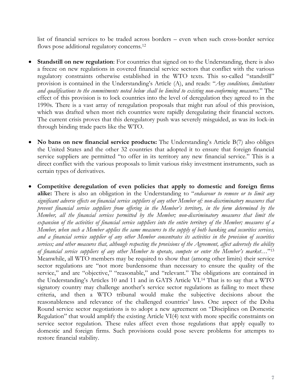list of financial services to be traded across borders – even when such cross-border service flows pose additional regulatory concerns.<sup>[12](#page-21-11)</sup>

- **Standstill on new regulation:** For countries that signed on to the Understanding, there is also a freeze on new regulations in covered financial service sectors that conflict with the various regulatory constraints otherwise established in the WTO texts. This so-called "standstill" provision is contained in the Understanding's Article (A), and reads: "*Any conditions, limitations and qualifications to the commitments noted below shall be limited to existing non-conforming measures*." The effect of this provision is to lock countries into the level of deregulation they agreed to in the 1990s. There is a vast array of reregulation proposals that might run afoul of this provision, which was drafted when most rich countries were rapidly deregulating their financial sectors. The current crisis proves that this deregulatory push was severely misguided, as was its lock-in through binding trade pacts like the WTO.
- **No bans on new financial service products:** The Understanding's Article B(7) also obliges the United States and the other 32 countries that adopted it to ensure that foreign financial service suppliers are permitted "to offer in its territory any new financial service." This is a direct conflict with the various proposals to limit various risky investment instruments, such as certain types of derivatives.
- **Competitive deregulation of even policies that apply to domestic and foreign firms alike:** There is also an obligation in the Understanding to "*endeavour to remove or to limit any significant adverse effects on financial service suppliers of any other Member of: non-discriminatory measures that prevent financial service suppliers from offering in the Member's territory, in the form determined by the Member, all the financial services permitted by the Member; non-discriminatory measures that limit the expansion of the activities of financial service suppliers into the entire territory of the Member; measures of a Member, when such a Member applies the same measures to the supply of both banking and securities services, and a financial service supplier of any other Member concentrates its activities in the provision of securities services; and other measures that, although respecting the provisions of the Agreement, affect adversely the ability of financial service suppliers of any other Member to operate, compete or enter the Member's market…*" [13](#page-21-12) Meanwhile, all WTO members may be required to show that (among other limits) their service sector regulations are "not more burdensome than necessary to ensure the quality of the service," and are "objective," "reasonable," and "relevant." The obligations are contained in the Understanding's Articles 10 and 11 and in GATS Article VI.[14](#page-21-13) That is to say that a WTO signatory country may challenge another's service sector regulations as failing to meet these criteria, and then a WTO tribunal would make the subjective decisions about the reasonableness and relevance of the challenged countries' laws. One aspect of the Doha Round service sector negotiations is to adopt a new agreement on "Disciplines on Domestic Regulation" that would amplify the existing Article VI(4) text with more specific constraints on service sector regulation. These rules affect even those regulations that apply equally to domestic and foreign firms. Such provisions could pose severe problems for attempts to restore financial stability.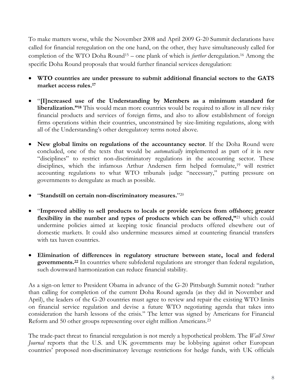To make matters worse, while the November 2008 and April 2009 G-20 Summit declarations have called for financial reregulation on the one hand, on the other, they have simultaneously called for completion of the WTO Doha Round[15](#page-21-14) – one plank of which is *further* deregulation.[16](#page-21-15) Among the specific Doha Round proposals that would further financial services deregulation:

- **WTO countries are under pressure to submit additional financial sectors to the GATS market access rules.[17](#page-21-16)**
- "**[I]ncreased use of the Understanding by Members as a minimum standard for liberalization."[18](#page-21-17)** This would mean more countries would be required to allow in all new risky financial products and services of foreign firms, and also to allow establishment of foreign firms operations within their countries, unconstrained by size-limiting regulations, along with all of the Understanding's other deregulatory terms noted above.
- **New global limits on regulations of the accountancy sector**. If the Doha Round were concluded, one of the texts that would be *automatically* implemented as part of it is new "disciplines" to restrict non-discriminatory regulations in the accounting sector. These disciplines, which the infamous Arthur Andersen firm helped formulate,<sup>[19](#page-21-18)</sup> will restrict accounting regulations to what WTO tribunals judge "necessary," putting pressure on governments to deregulate as much as possible.
- "**Standstill on certain non-discriminatory measures.**" [20](#page-21-19)
- "**Improved ability to sell products to locals or provide services from offshore; greater flexibility in the number and types of products which can be offered,"**[21](#page-21-20) which could undermine policies aimed at keeping toxic financial products offered elsewhere out of domestic markets. It could also undermine measures aimed at countering financial transfers with tax haven countries.
- **Elimination of differences in regulatory structure between state, local and federal governments.[22](#page-21-21)** In countries where subfederal regulations are stronger than federal regulation, such downward harmonization can reduce financial stability.

As a sign-on letter to President Obama in advance of the G-20 Pittsburgh Summit noted: "rather than calling for completion of the current Doha Round agenda (as they did in November and April), the leaders of the G-20 countries must agree to review and repair the existing WTO limits on financial service regulation and devise a future WTO negotiating agenda that takes into consideration the harsh lessons of the crisis." The letter was signed by Americans for Financial Reform and 50 other groups representing over eight million Americans.[23](#page-21-22)

The trade-pact threat to financial reregulation is not merely a hypothetical problem. The *Wall Street Journal* reports that the U.S. and UK governments may be lobbying against other European countries' proposed non-discriminatory leverage restrictions for hedge funds, with UK officials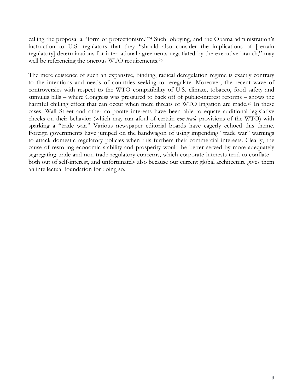calling the proposal a "form of protectionism."[24](#page-21-23) Such lobbying, and the Obama administration's instruction to U.S. regulators that they "should also consider the implications of [certain regulatory] determinations for international agreements negotiated by the executive branch," may well be referencing the onerous WTO requirements.<sup>[25](#page-21-24)</sup>

The mere existence of such an expansive, binding, radical deregulation regime is exactly contrary to the intentions and needs of countries seeking to reregulate. Moreover, the recent wave of controversies with respect to the WTO compatibility of U.S. climate, tobacco, food safety and stimulus bills – where Congress was pressured to back off of public-interest reforms – shows the harmful chilling effect that can occur when mere threats of WTO litigation are made.<sup>[26](#page-21-25)</sup> In these cases, Wall Street and other corporate interests have been able to equate additional legislative checks on their behavior (which may run afoul of certain *non-trade* provisions of the WTO) with sparking a "trade war." Various newspaper editorial boards have eagerly echoed this theme. Foreign governments have jumped on the bandwagon of using impending "trade war" warnings to attack domestic regulatory policies when this furthers their commercial interests. Clearly, the cause of restoring economic stability and prosperity would be better served by more adequately segregating trade and non-trade regulatory concerns, which corporate interests tend to conflate – both out of self-interest, and unfortunately also because our current global architecture gives them an intellectual foundation for doing so.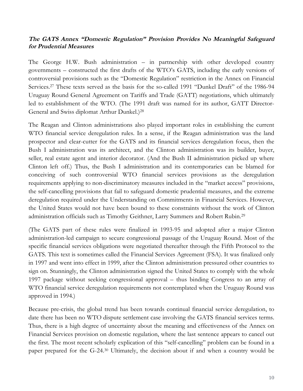## **The GATS Annex "Domestic Regulation" Provision Provides No Meaningful Safeguard for Prudential Measures**

The George H.W. Bush administration – in partnership with other developed country governments – constructed the first drafts of the WTO's GATS, including the early versions of controversial provisions such as the "Domestic Regulation" restriction in the Annex on Financial Services. [27](#page-21-26) These texts served as the basis for the so-called 1991 "Dunkel Draft" of the 1986-94 Uruguay Round General Agreement on Tariffs and Trade (GATT) negotiations, which ultimately led to establishment of the WTO. (The 1991 draft was named for its author, GATT Director-General and Swiss diplomat Arthur Dunkel.) [28](#page-21-27)

The Reagan and Clinton administrations also played important roles in establishing the current WTO financial service deregulation rules. In a sense, if the Reagan administration was the land prospector and clear-cutter for the GATS and its financial services deregulation focus, then the Bush I administration was its architect, and the Clinton administration was its builder, buyer, seller, real estate agent and interior decorator. (And the Bush II administration picked up where Clinton left off.) Thus, the Bush I administration and its contemporaries can be blamed for conceiving of such controversial WTO financial services provisions as the deregulation requirements applying to non-discriminatory measures included in the "market access" provisions, the self-cancelling provisions that fail to safeguard domestic prudential measures, and the extreme deregulation required under the Understanding on Commitments in Financial Services. However, the United States would not have been bound to these constraints without the work of Clinton administration officials such as Timothy Geithner, Larry Summers and Robert Rubin.[29](#page-21-10)

(The GATS part of these rules were finalized in 1993-95 and adopted after a major Clinton administration-led campaign to secure congressional passage of the Uruguay Round. Most of the specific financial services obligations were negotiated thereafter through the Fifth Protocol to the GATS. This text is sometimes called the Financial Services Agreement (FSA). It was finalized only in 1997 and went into effect in 1999, after the Clinton administration pressured other countries to sign on. Stunningly, the Clinton administration signed the United States to comply with the whole 1997 package without seeking congressional approval – thus binding Congress to an array of WTO financial service deregulation requirements not contemplated when the Uruguay Round was approved in 1994.)

Because pre-crisis, the global trend has been towards continual financial service deregulation, to date there has been no WTO dispute settlement case involving the GATS financial services terms. Thus, there is a high degree of uncertainty about the meaning and effectiveness of the Annex on Financial Services provision on domestic regulation, where the last sentence appears to cancel out the first. The most recent scholarly explication of this "self-cancelling" problem can be found in a paper prepared for the G-24. [30](#page-21-28) Ultimately, the decision about if and when a country would be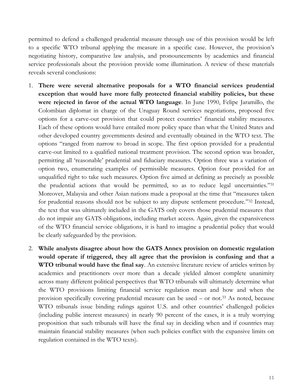permitted to defend a challenged prudential measure through use of this provision would be left to a specific WTO tribunal applying the measure in a specific case. However, the provision's negotiating history, comparative law analysis, and pronouncements by academics and financial service professionals about the provision provide some illumination. A review of these materials reveals several conclusions:

- 1. **There were several alternative proposals for a WTO financial services prudential exception that would have more fully protected financial stability policies, but these were rejected in favor of the actual WTO language**. In June 1990, Felipe Jaramillo, the Colombian diplomat in charge of the Uruguay Round services negotiations, proposed five options for a carve-out provision that could protect countries' financial stability measures. Each of these options would have entailed more policy space than what the United States and other developed country governments desired and eventually obtained in the WTO text. The options "ranged from narrow to broad in scope. The first option provided for a prudential carve-out limited to a qualified national treatment provision. The second option was broader, permitting all 'reasonable' prudential and fiduciary measures. Option three was a variation of option two, enumerating examples of permissible measures. Option four provided for an unqualified right to take such measures. Option five aimed at defining as precisely as possible the prudential actions that would be permitted, so as to reduce legal uncertainties."[31](#page-21-29) Moreover, Malaysia and other Asian nations made a proposal at the time that "measures taken for prudential reasons should not be subject to any dispute settlement procedure."[32](#page-21-30) Instead, the text that was ultimately included in the GATS only covers those prudential measures that do not impair any GATS obligations, including market access. Again, given the expansiveness of the WTO financial service obligations, it is hard to imagine a prudential policy that would be clearly safeguarded by the provision.
- 2. **While analysts disagree about how the GATS Annex provision on domestic regulation would operate if triggered, they all agree that the provision is confusing and that a WTO tribunal would have the final say**. An extensive literature review of articles written by academics and practitioners over more than a decade yielded almost complete unanimity across many different political perspectives that WTO tribunals will ultimately determine what the WTO provisions limiting financial service regulation mean and how and when the provision specifically covering prudential measure can be used – or not.[33](#page-21-13) As noted, because WTO tribunals issue binding rulings against U.S. and other countries' challenged policies (including public interest measures) in nearly 90 percent of the cases, it is a truly worrying proposition that such tribunals will have the final say in deciding when and if countries may maintain financial stability measures (when such policies conflict with the expansive limits on regulation contained in the WTO texts).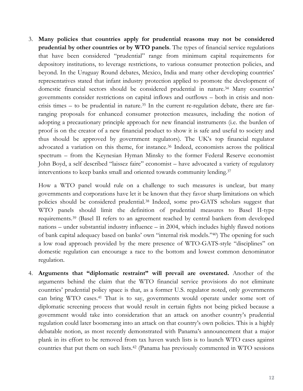3. **Many policies that countries apply for prudential reasons may not be considered prudential by other countries or by WTO panels**. The types of financial service regulations that have been considered "prudential" range from minimum capital requirements for depository institutions, to leverage restrictions, to various consumer protection policies, and beyond. In the Uruguay Round debates, Mexico, India and many other developing countries' representatives stated that infant industry protection applied to promote the development of domestic financial sectors should be considered prudential in nature.<sup>[34](#page-21-31)</sup> Many countries' governments consider restrictions on capital inflows and outflows – both in crisis and non-crisis times – to be prudential in nature.<sup>[35](#page-21-32)</sup> In the current re-regulation debate, there are farranging proposals for enhanced consumer protection measures, including the notion of adopting a precautionary principle approach for new financial instruments (i.e. the burden of proof is on the creator of a new financial product to show it is safe and useful to society and thus should be approved by government regulators). The UK's top financial regulator advocated a variation on this theme, for instance.<sup>[36](#page-21-15)</sup> Indeed, economists across the political spectrum – from the Keynesian Hyman Minsky to the former Federal Reserve economist John Boyd, a self described "laissez faire" economist – have advocated a variety of regulatory interventions to keep banks small and oriented towards community lending.[37](#page-21-16)

How a WTO panel would rule on a challenge to such measures is unclear, but many governments and corporations have let it be known that they favor sharp limitations on which policies should be considered prudential. [38](#page-21-33) Indeed, some pro-GATS scholars suggest that WTO panels should limit the definition of prudential measures to Basel II-type requirements.[39](#page-21-17) (Basel II refers to an agreement reached by central bankers from developed nations – under substantial industry influence – in 2004, which includes highly flawed notions of bank capital adequacy based on banks' own "internal risk models." [40](#page-21-21)) The opening for such a low road approach provided by the mere presence of WTO-GATS-style "disciplines" on domestic regulation can encourage a race to the bottom and lowest common denominator regulation.

4. **Arguments that "diplomatic restraint" will prevail are overstated.** Another of the arguments behind the claim that the WTO financial service provisions do not eliminate countries' prudential policy space is that, as a former U.S. regulator noted, only governments can bring WTO cases.[41](#page-21-34) That is to say, governments would operate under some sort of diplomatic screening process that would result in certain fights not being picked because a government would take into consideration that an attack on another country's prudential regulation could later boomerang into an attack on that country's own policies. This is a highly debatable notion, as most recently demonstrated with Panama's announcement that a major plank in its effort to be removed from tax haven watch lists is to launch WTO cases against countries that put them on such lists.[42](#page-21-35) (Panama has previously commented in WTO sessions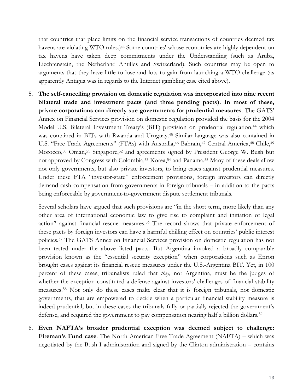that countries that place limits on the financial service transactions of countries deemed tax havens are violating WTO rules.)<sup>[43](#page-21-36)</sup> Some countries' whose economies are highly dependent on tax havens have taken deep commitments under the Understanding (such as Aruba, Liechtenstein, the Netherland Antilles and Switzerland). Such countries may be open to arguments that they have little to lose and lots to gain from launching a WTO challenge (as apparently Antigua was in regards to the Internet gambling case cited above).

5. **The self-cancelling provision on domestic regulation was incorporated into nine recent bilateral trade and investment pacts (and three pending pacts). In most of these, private corporations can directly sue governments for prudential measures**. The GATS' Annex on Financial Services provision on domestic regulation provided the basis for the 2004 Model U.S. Bilateral Investment Treaty's (BIT) provision on prudential regulation,<sup>[44](#page-21-27)</sup> which was contained in BITs with Rwanda and Uruguay.[45](#page-21-10) Similar language was also contained in U.S. "Free Trade Agreements" (FTAs) with Australia,<sup>[46](#page-21-37)</sup> Bahrain,<sup>[47](#page-21-38)</sup> Central America,<sup>[48](#page-21-39)</sup> Chile,<sup>[49](#page-21-11)</sup> Morocco,<sup>[50](#page-21-40)</sup> O[man,](#page-21-28)<sup>[51](#page-21-28)</sup> Singapore,<sup>[52](#page-21-41)</sup> and agreements signed by President George W. Bush but not approved by Congress with Colombia,<sup>[53](#page-21-29)</sup> Korea,<sup>[54](#page-21-42)</sup> and Panama.<sup>[55](#page-21-30)</sup> Many of these deals allow not only governments, but also private investors, to bring cases against prudential measures. Under these FTA "investor-state" enforcement provisions, foreign investors can directly demand cash compensation from governments in foreign tribunals – in addition to the pacts being enforceable by government-to-government dispute settlement tribunals.

Several scholars have argued that such provisions are "in the short term, more likely than any other area of international economic law to give rise to complaint and initiation of legal action" against financial rescue measures.<sup>[56](#page-21-43)</sup> The record shows that private enforcement of these pacts by foreign investors can have a harmful chilling effect on countries' public interest policies.[57](#page-21-44) The GATS Annex on Financial Services provision on domestic regulation has not been tested under the above listed pacts. But Argentina invoked a broadly comparable provision known as the "essential security exception" when corporations such as Enron brought cases against its financial rescue measures under the U.S.-Argentina BIT. Yet, in 100 percent of these cases, tribunalists ruled that *they,* not Argentina, must be the judges of whether the exception constituted a defense against investors' challenges of financial stability measures.[58](#page-21-45) Not only do these cases make clear that it is foreign tribunals, not domestic governments, that are empowered to decide when a particular financial stability measure is indeed prudential, but in these cases the tribunals fully or partially rejected the government's defense, and required the government to pay compensation nearing half a billion dollars.<sup>[59](#page-21-46)</sup>

6. **Even NAFTA's broader prudential exception was deemed subject to challenge: Fireman's Fund case**. The North American Free Trade Agreement (NAFTA) – which was negotiated by the Bush I administration and signed by the Clinton administration – contains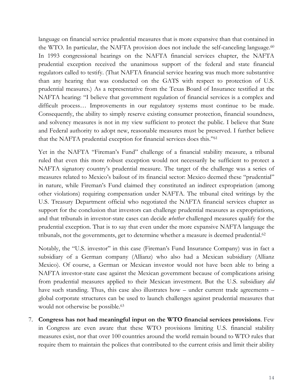language on financial service prudential measures that is more expansive than that contained in the WTO. In particular, the NAFTA provision does not include the self-canceling language.<sup>[60](#page-21-15)</sup> In 1993 congressional hearings on the NAFTA financial services chapter, the NAFTA prudential exception received the unanimous support of the federal and state financial regulators called to testify. (That NAFTA financial service hearing was much more substantive than any hearing that was conducted on the GATS with respect to protection of U.S. prudential measures.) As a representative from the Texas Board of Insurance testified at the NAFTA hearing: "I believe that government regulation of financial services is a complex and difficult process… Improvements in our regulatory systems must continue to be made. Consequently, the ability to simply reserve existing consumer protection, financial soundness, and solvency measures is not in my view sufficient to protect the public. I believe that State and Federal authority to adopt new, reasonable measures must be preserved. I further believe that the NAFTA prudential exception for financial services does this."[61](#page-21-17)

Yet in the NAFTA "Fireman's Fund" challenge of a financial stability measure, a tribunal ruled that even this more robust exception would not necessarily be sufficient to protect a NAFTA signatory country's prudential measure. The target of the challenge was a series of measures related to Mexico's bailout of its financial sector: Mexico deemed these "prudential" in nature, while Fireman's Fund claimed they constituted an indirect expropriation (among other violations) requiring compensation under NAFTA. The tribunal cited writings by the U.S. Treasury Department official who negotiated the NAFTA financial services chapter as support for the conclusion that investors can challenge prudential measures as expropriations, and that tribunals in investor-state cases can decide *whether* challenged measures qualify for the prudential exception. That is to say that even under the more expansive NAFTA language the tribunals, not the governments, get to determine whether a measure is deemed prudential.[62](#page-21-47)

Notably, the "U.S. investor" in this case (Fireman's Fund Insurance Company) was in fact a subsidiary of a German company (Allianz) who also had a Mexican subsidiary (Allianz Mexico). Of course, a German or Mexican investor would not have been able to bring a NAFTA investor-state case against the Mexican government because of complications arising from prudential measures applied to their Mexican investment. But the U.S. subsidiary *did* have such standing. Thus, this case also illustrates how – under current trade agreements – global corporate structures can be used to launch challenges against prudential measures that would not otherwise be possible.<sup>[63](#page-21-48)</sup>

7. **Congress has not had meaningful input on the WTO financial services provisions**. Few in Congress are even aware that these WTO provisions limiting U.S. financial stability measures exist, nor that over 100 countries around the world remain bound to WTO rules that require them to maintain the polices that contributed to the current crisis and limit their ability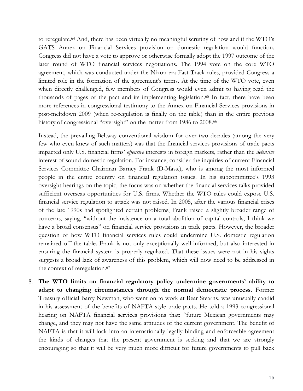to reregulate. [64](#page-21-34) And, there has been virtually no meaningful scrutiny of how and if the WTO's GATS Annex on Financial Services provision on domestic regulation would function. Congress did not have a vote to approve or otherwise formally adopt the 1997 outcome of the later round of WTO financial services negotiations. The 1994 vote on the core WTO agreement, which was conducted under the Nixon-era Fast Track rules, provided Congress a limited role in the formation of the agreement's terms. At the time of the WTO vote, even when directly challenged, few members of Congress would even admit to having read the thousands of pages of the pact and its implementing legislation.[65](#page-21-22) In fact, there have been more references in congressional testimony to the Annex on Financial Services provisions in post-meltdown 2009 (when re-regulation is finally on the table) than in the entire previous history of congressional "oversight" on the matter from 1986 to 2008.<sup>[66](#page-21-23)</sup>

Instead, the prevailing Beltway conventional wisdom for over two decades (among the very few who even knew of such matters) was that the financial services provisions of trade pacts impacted only U.S. financial firms' *offensive* interests in foreign markets, rather than the *defensive* interest of sound domestic regulation. For instance, consider the inquiries of current Financial Services Committee Chairman Barney Frank (D-Mass.), who is among the most informed people in the entire country on financial regulation issues. In his subcommittee's 1993 oversight hearings on the topic, the focus was on whether the financial services talks provided sufficient overseas opportunities for U.S. firms. Whether the WTO rules could expose U.S. financial service regulation to attack was not raised. In 2005, after the various financial crises of the late 1990s had spotlighted certain problems, Frank raised a slightly broader range of concerns, saying, "without the insistence on a total abolition of capital controls, I think we have a broad consensus" on financial service provisions in trade pacts. However, the broader question of how WTO financial services rules could undermine U.S. domestic regulation remained off the table. Frank is not only exceptionally well-informed, but also interested in ensuring the financial system is properly regulated. That these issues were not in his sights suggests a broad lack of awareness of this problem, which will now need to be addressed in the context of reregulation.<sup>[67](#page-21-49)</sup>

8. **The WTO limits on financial regulatory policy undermine governments' ability to adapt to changing circumstances through the normal democratic process**. Former Treasury official Barry Newman, who went on to work at Bear Stearns, was unusually candid in his assessment of the benefits of NAFTA-style trade pacts. He told a 1993 congressional hearing on NAFTA financial services provisions that: "future Mexican governments may change, and they may not have the same attitudes of the current government. The benefit of NAFTA is that it will lock into an internationally legally binding and enforceable agreement the kinds of changes that the present government is seeking and that we are strongly encouraging so that it will be very much more difficult for future governments to pull back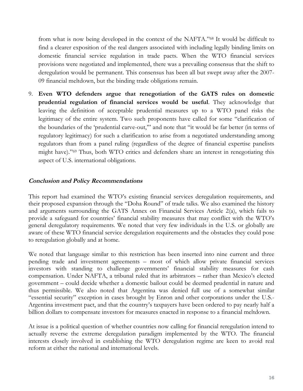from what is now being developed in the context of the NAFTA."[68](#page-21-38) It would be difficult to find a clearer exposition of the real dangers associated with including legally binding limits on domestic financial service regulation in trade pacts. When the WTO financial services provisions were negotiated and implemented, there was a prevailing consensus that the shift to deregulation would be permanent. This consensus has been all but swept away after the 2007- 09 financial meltdown, but the binding trade obligations remain.

9. **Even WTO defenders argue that renegotiation of the GATS rules on domestic prudential regulation of financial services would be useful**. They acknowledge that leaving the definition of acceptable prudential measures up to a WTO panel risks the legitimacy of the entire system. Two such proponents have called for some "clarification of the boundaries of the 'prudential carve-out,'" and note that "it would be far better (in terms of regulatory legitimacy) for such a clarification to arise from a negotiated understanding among regulators than from a panel ruling (regardless of the degree of financial expertise panelists might have)."[69](#page-21-11) Thus, both WTO critics and defenders share an interest in renegotiating this aspect of U.S. international obligations.

### **Conclusion and Policy Recommendations**

This report had examined the WTO's existing financial services deregulation requirements, and their proposed expansion through the "Doha Round" of trade talks. We also examined the history and arguments surrounding the GATS Annex on Financial Services Article 2(a), which fails to provide a safeguard for countries' financial stability measures that may conflict with the WTO's general deregulatory requirements. We noted that very few individuals in the U.S. or globally are aware of these WTO financial service deregulation requirements and the obstacles they could pose to reregulation globally and at home.

We noted that language similar to this restriction has been inserted into nine current and three pending trade and investment agreements – most of which allow private financial services investors with standing to challenge governments' financial stability measures for cash compensation. Under NAFTA, a tribunal ruled that its arbitrators – rather than Mexico's elected government – could decide whether a domestic bailout could be deemed prudential in nature and thus permissible. We also noted that Argentina was denied full use of a somewhat similar "essential security" exception in cases brought by Enron and other corporations under the U.S.- Argentina investment pact, and that the country's taxpayers have been ordered to pay nearly half a billion dollars to compensate investors for measures enacted in response to a financial meltdown.

At issue is a political question of whether countries now calling for financial reregulation intend to actually reverse the extreme deregulation paradigm implemented by the WTO. The financial interests closely involved in establishing the WTO deregulation regime are keen to avoid real reform at either the national and international levels.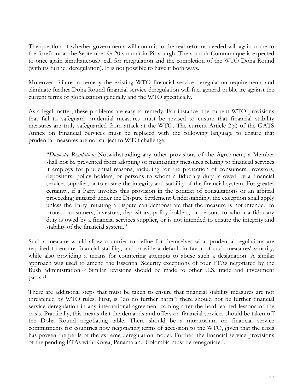The question of whether governments will commit to the real reforms needed will again come to the forefront at the September G-20 summit in Pittsburgh. The summit Communiqué is expected to once again simultaneously call for reregulation and the completion of the WTO Doha Round (with its further deregulation). It is not possible to have it both ways.

Moreover, failure to remedy the existing WTO financial service deregulation requirements and eliminate further Doha Round financial service deregulation will fuel general public ire against the current terms of globalization generally and the WTO specifically.

As a legal matter, these problems are easy to remedy. For instance, the current WTO provisions that fail to safeguard prudential measures must be revised to ensure that financial stability measures are truly safeguarded from attack at the WTO. The current Article 2(a) of the GATS Annex on Financial Services must be replaced with the following language to ensure that prudential measures are not subject to WTO challenge:

"*Domestic Regulation:* Notwithstanding any other provisions of the Agreement, a Member shall not be prevented from adopting or maintaining measures relating to financial services it employs for prudential reasons, including for the protection of consumers, investors, depositors, policy holders, or persons to whom a fiduciary duty is owed by a financial services supplier, or to ensure the integrity and stability of the financial system. For greater certainty, if a Party invokes this provision in the context of consultations or an arbitral proceeding initiated under the Dispute Settlement Understanding, the exception shall apply unless the Party initiating a dispute can demonstrate that the measure is not intended to protect consumers, investors, depositors, policy holders, or persons to whom a fiduciary duty is owed by a financial services supplier, or is not intended to ensure the integrity and stability of the financial system."

Such a measure would allow countries to define for themselves what prudential regulations are required to ensure financial stability, and provide a default in favor of such measures' sanctity, while also providing a means for countering attempts to abuse such a designation. A similar approach was used to amend the Essential Security exceptions of four FTAs negotiated by the Bush administration.[70](#page-21-40) Similar revisions should be made to other U.S. trade and investment pacts.[71](#page-21-13)

There are additional steps that must be taken to ensure that financial stability measures are not threatened by WTO rules. First, is "do no further harm": there should not be further financial service deregulation in any international agreement coming after the hard-learned lessons of the crisis. Practically, this means that the demands and offers on financial services should be taken off the Doha Round negotiating table. There should be a moratorium on financial service commitments for countries now negotiating terms of accession to the WTO, given that the crisis has proven the perils of the extreme deregulation model. Further, the financial service provisions of the pending FTAs with Korea, Panama and Colombia must be renegotiated.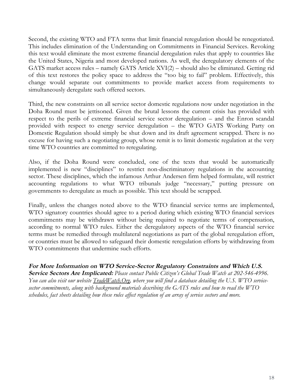Second, the existing WTO and FTA terms that limit financial reregulation should be renegotiated. This includes elimination of the Understanding on Commitments in Financial Services. Revoking this text would eliminate the most extreme financial deregulation rules that apply to countries like the United States, Nigeria and most developed nations. As well, the deregulatory elements of the GATS market access rules – namely GATS Article XVI(2) – should also be eliminated. Getting rid of this text restores the policy space to address the "too big to fail" problem. Effectively, this change would separate out commitments to provide market access from requirements to simultaneously deregulate such offered sectors.

Third, the new constraints on all service sector domestic regulations now under negotiation in the Doha Round must be jettisoned. Given the brutal lessons the current crisis has provided with respect to the perils of extreme financial service sector deregulation – and the Enron scandal provided with respect to energy service deregulation – the WTO GATS Working Party on Domestic Regulation should simply be shut down and its draft agreement scrapped. There is no excuse for having such a negotiating group, whose remit is to limit domestic regulation at the very time WTO countries are committed to reregulating.

Also, if the Doha Round were concluded, one of the texts that would be automatically implemented is new "disciplines" to restrict non-discriminatory regulations in the accounting sector. These disciplines, which the infamous Arthur Andersen firm helped formulate, will restrict accounting regulations to what WTO tribunals judge "necessary," putting pressure on governments to deregulate as much as possible. This text should be scrapped.

Finally, unless the changes noted above to the WTO financial service terms are implemented, WTO signatory countries should agree to a period during which existing WTO financial services commitments may be withdrawn without being required to negotiate terms of compensation, according to normal WTO rules. Either the deregulatory aspects of the WTO financial service terms must be remedied through multilateral negotiations as part of the global reregulation effort, or countries must be allowed to safeguard their domestic reregulation efforts by withdrawing from WTO commitments that undermine such efforts.

For More Information on WTO Service-Sector Regulatory Constraints and Which U.S. **Service Sectors Are Implicated:** *Please contact Public Citizen's Global Trade Watch at 202-546-4996. You can also visit our website [TradeWatch.Org](http://tradewatch.org/), where you will find a database detailing the U.S. WTO servicesector commitments, along with background materials describing the GATS rules and how to read the WTO schedules, fact sheets detailing how these rules affect regulation of an array of service sectors and more.*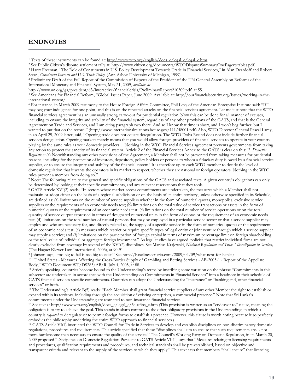#### **ENDNOTES**

<sup>1</sup> Texts of these instruments can be found at: http://www.wto.org/english/docs\_e/legal\_e/legal\_e.htm.

<sup>3</sup> Harry Freeman, "The Role of Constituents in U.S. Policy Development Towards Trade in Financial Services," in Alan Deardoff and Robert Stern, *Constituent Interests and U.S. Trade Policy,* (Ann Arbor: University of Michigan, 1999).

<sup>4</sup> Preliminary Draft of the Full Report of the Commission of Experts of the President of the UN General Assembly on Reforms of the International Monetary and Financial System, May 21, 2009, *available at*

http://www.un.org/ga/president/63/interactive/financialcrisis/PreliminaryReport210509.pdf, at 55.

<sup>5</sup> See Americans for Financial Reform, "Global Issues Paper, June 2009. Available at: http://ourfinancialsecurity.org/issues/working-in-theinternational-system/

<sup>6</sup> For instance, in March 2009 testimony to the House Foreign Affairs Committee, Phil Levy of the American Enterprise Institute said: "If I may beg your indulgence for one point, and this is on the repeated attacks on the financial services agreement. Let me just note that the WTO financial services agreement has an unusually strong carve-out for prudential regulation. Now this can be done for all manner of excuses, including to ensure the integrity and stability of the financial system, regardless of any other provisions of the GATS, and that is the General Agreement on Trade and Services, and I am citing paragraph two there. And so I know that time is short, and I won't beg further, but I wanted to put that on the record." (http://www.internationalrelations.house.gov/111/48001.pdf) Also, WTO Director-General Pascal Lamy, in an April 29, 2009 letter, said, "Opening trade does not equate deregulation. The WTO Doha Round does not include further financial services deregulation. Opening markets merely means that you would allow foreign providers of financial services to operate in your country playing by the same rules as your domestic providers… Nothing in the WTO Financial Services agreement prevents governments from taking any action to protect the sanctity of its financial system. Article 2 of the Financial Services Annex to the GATS is clear on this: '2. *Domestic Regulation:* (a) Notwithstanding any other provisions of the Agreement, a Member shall not be prevented from taking measures for prudential reasons, including for the protection of investors, depositors, policy holders or persons to whom a fiduciary duty is owed by a financial service supplier, or to ensure the integrity and stability of the financial system.' It is therefore up to each WTO member to decide the level of domestic regulation that it wants the operators in its market to respect, whether they are national or foreign operators. Nothing in the WTO rules prevent a member from doing so."

<sup>7</sup> Note: The following relate to the general and specific obligations of the GATS and associated texts. A given country's obligations can only be determined by looking at their specific commitments, and any relevant reservations that they took.

<sup>8</sup> GATS Article XVI(2) reads: "In sectors where market-access commitments are undertaken, the measures which a Member shall not maintain or adopt either on the basis of a regional subdivision or on the basis of its entire territory, unless otherwise specified in its Schedule, are defined as: (a) limitations on the number of service suppliers whether in the form of numerical quotas, monopolies, exclusive service suppliers or the requirements of an economic needs test; (b) limitations on the total value of service transactions or assets in the form of numerical quotas or the requirement of an economic needs test; (c) limitations on the total number of service operations or on the total quantity of service output expressed in terms of designated numerical units in the form of quotas or the requirement of an economic needs test; (d) limitations on the total number of natural persons that may be employed in a particular service sector or that a service supplier may employ and who are necessary for, and directly related to, the supply of a specific service in the form of numerical quotas or the requirement of an economic needs test; (e) measures which restrict or require specific types of legal entity or joint venture through which a service supplier may supply a service; and (f) limitations on the participation of foreign capital in terms of maximum percentage limit on foreign shareholding or the total value of individual or aggregate foreign investment." As legal studies have argued, policies that restrict individual firms are not clearly excluded from coverage by several of the XVI(2) disciplines. See Markus Krajewski, *National Regulation and Trade Liberalization in Services,* (The Hague: Klewer Law International, 2003), at 90-91

<sup>9</sup> Johnson says, "too big to fail is too big to exist." See http://baselinescenario.com/2009/04/09/what-next-for-banks/

<sup>10</sup> "United States - Measures Affecting the Cross-Border Supply of Gambling and Betting Services - AB-2005-1 - Report of the Appellate Body," WTO Document WT/DS285/AB/R, July 4, 2005, at 88.

<sup>11</sup> Strictly speaking, countries become bound to the Understanding's terms by inscribing some variation on the phrase "Commitments in this subsector are undertaken in accordance with the Understanding on Commitments in Financial Services" into a headnote in their schedule of GATS financial services specific commitments. Countries can adopt the Understanding for "insurance" or "banking and, other financial services" or both.

<sup>12</sup> The Understanding's Article B(5) reads: "Each Member shall grant financial service suppliers of any other Member the right to establish or expand within its territory, including through the acquisition of existing enterprises, a commercial presence." Note that Sri Lanka's commitments under the Understanding are restricted to non-insurance financial services.

<sup>13</sup> See text at http://www.wto.org/english/docs\_e/legal\_e/54-ufins\_e.htm (This provision is written as an "endeavor to" clause, meaning the obligation is to try to achieve the goal. This stands in sharp contrast to the other obligatory provisions in the Understanding, in which a country is *required* to deregulate or to permit foreign forms to establish a presence. However, this clause is worth noting because it so perfectly embodies the philosophy underlying the entire WTO approach to financial services.)

<sup>14</sup> GATS Article VI(4) instructed the WTO Council for Trade in Services to develop and establish disciplines on non-discriminatory domestic regulations, procedures and requirements. This article specified that these "disciplines shall aim to ensure that such requirements are… not more burdensome than necessary to ensure the quality of the service." The Council's Working Party on Domestic Regulation, in its March 20, 2009 proposed "Disciplines on Domestic Regulation Pursuant to GATS Article VI:4", says that "Measures relating to licensing requirements and procedures, qualification requirements and procedures, and technical standards shall be pre-established, based on objective and transparent criteria and relevant to the supply of the services to which they apply." This text says that members "shall ensure" that licensing

<sup>2</sup> See Public Citizen's dispute settlement tally at: http://www.citizen.org/documents/WTODisputesSummaryOnePagerwtables.pdf.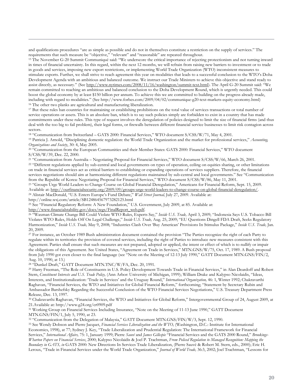and qualifications procedures "are as simple as possible and do not in themselves constitute a restriction on the supply of services." The requirements that such measure be "objective," "relevant" and "reasonable" are repeated throughout.

<sup>15</sup> The November G-20 Summit Communiqué said: "We underscore the critical importance of rejecting protectionism and not turning inward in times of financial uncertainty. In this regard, within the next 12 months, we will refrain from raising new barriers to investment or to trade in goods and services, imposing new export restrictions, or implementing World Trade Organization (WTO) inconsistent measures to stimulate exports. Further, we shall strive to reach agreement this year on modalities that leads to a successful conclusion to the WTO's Doha Development Agenda with an ambitious and balanced outcome. We instruct our Trade Ministers to achieve this objective and stand ready to assist directly, as necessary." (See http://www.nytimes.com/2008/11/16/washington/summit-text.html). The April G-20 Summit said: "We remain committed to reaching an ambitious and balanced conclusion to the Doha Development Round, which is urgently needed. This could boost the global economy by at least \$150 billion per annum. To achieve this we are committed to building on the progress already made, including with regard to modalities." (See http://www.forbes.com/2009/04/02/communique-g20-text-markets-equity-economy.html) <sup>16</sup> The other two planks are agricultural and manufacturing liberalization.

<sup>17</sup> But these rules ban countries for maintaining or establishing prohibitions on the total value of services transactions or total number of service operations or assets. This is an absolute ban, which is to say such policies simply are forbidden to exist in a country that has made commitments under these rules. This type of request involves the deregulation of policies designed to limit the size of financial firms (and thus deal with the too big to fail problem), their legal forms, or firewalls between different financial service businesses to limit risk contagion across sectors.

<sup>18</sup> "Communication from Switzerland – GATS 2000: Financial Services," WTO document S/CSS/W/71, May 4, 2001.

<sup>19</sup> Patricia J. Arnold, "Disciplining domestic regulation: the World Trade Organization and the market for professional services," *Accounting, Organizations and Society*, 30: 4, May 2005.

<sup>20</sup> "Communication from the European Communities and their Member States: GATS 2000: Financial Services," WTO document S/CSS/W/39, Dec. 22, 2000.

<sup>21</sup> "Communication from Australia – Negotiating Proposal for Financial Services," WTO document S/CSS/W/66, March 26, 2001.

<sup>22</sup> "Different regulations applied by sub-central and local governments on types of operation, ceiling on equities sharing, or other limitations on trade in financial services act as critical barriers to establishing or expanding operations of services suppliers. Therefore, the financial services negotiations should aim at harmonizing different regulations maintained by sub-central and local governments." See "Communication from the Republic of Korea: Negotiating Proposal for Financial Services," WTO document S/CSS/W/86, May 11, 2001.

<sup>23</sup> "Groups Urge World Leaders to Change Course on Global Financial Deregulation," Americans for Financial Reform, Sept. 15, 2009. Available at: http://ourfinancialsecurity.org/2009/09/groups-urge-world-leaders-to-change-course-on-global-financial-deregulation/. <sup>24</sup> Alistair MacDonald, "U.S. Enters Europe's Fund Debate," *Wall Street Journal,* July 27, 2009. Available at:

http://online.wsj.com/article/SB124864567973282125.html

<sup>25</sup> See "Financial Regulatory Reform: A New Foundation," U.S. Government, July 2009, at 85. Available at:

http://www.financialstability.gov/docs/regs/FinalReport\_web.pdf.

<sup>26</sup> "Waxman Climate Change Bill Could Violate WTO Rules, Experts Say," *Inside U.S. Trade,* April 3, 2009; "Indonesia Says U.S. Tobacco Bill Violates WTO Rules, Holds Off On Legal Challenge," *Inside U.S. Trade,* Aug. 25, 2009; "EU Questions Dingell FDA Draft, Seeks Regulatory Harmonization," *Inside U.S. Trade,* May 9, 2008; "Industries Clash Over 'Buy American' Provisions In Stimulus Package," *Inside U.S. Trade,* Jan. 20, 2009.

<sup>27</sup> For instance, an October 1989 Bush administration document contained the provision "The Parties recognize the right of each Party to regulate within its territories the provision of covered services, including the right of Parties to introduce new measures consistent with this Agreement. Parties shall ensure that such measures are not prepared, adopted or applied, the intent or effect of which is to nullify or impair the obligations of this Agreement. See United States, "Agreement on Trade in Services," MTN.GNS/W/75, Oct. 17, 1989. A Bush proposal from July 1990 got even closer to the final language (see "Note on the Meeting of 12-13 July 1990," GATT Document MTN.GNS/FIN/2, Aug. 10, 1990, at 13.)

<sup>28</sup> "Dunkel Draft," GATT Document MTN.TNC/W/FA, Dec. 20, 1991.

<sup>29</sup> Harry Freeman, "The Role of Constituents in U.S. Policy Development Towards Trade in Financial Services," in Alan Deardoff and Robert Stern, *Constituent Interests and U.S. Trade Policy,* (Ann Arbor: University of Michigan, 1999); William Drake and Kalypso Nicolaidis, "Ideas, Interests, and Institutionalization: 'Trade in Services' and the Uruguay Round," *International Organization,* 46: 1, Winter 1992; Chakravarthi Raghavan, "Financial Services, the WTO and Initiatives for Global Financial Reform," forthcoming; "Statement by Secretary Rubin and Ambassador Barshefsky Regarding the Successful Conclusion of the WTO Financial Services Negotiations," U.S. Treasury Department Press Release, Dec. 13, 1997.

<sup>30</sup> Chakravarthi Raghavan, "Financial Services, the WTO and Initiatives for Global Reform," Intergovernmental Group of 24, August 2009, at 21.Available at: http://www.g24.org/cr0909.pdf

<sup>31</sup> Working Group on Financial Services Including Insurance, "Note on the Meeting of 11-13 June 1990," GATT Document MTN.GNS/FIN/1, July 5, 1990, at 23.

<sup>32</sup> "Communication from the Delegation of Malaysia," GATT Document MTN.GNS/FIN/W/3, Sept. 12, 1990.

<sup>33</sup> See Wendy Dobson and Pierre Jacquet, *Financial Services Liberalization and the WTO,* (Washington, D.C.: Institute for International Economics, 1998), at 77; Sydney J. Key, "Trade Liberalization and Prudential Regulation: The International Framework for Financial Services," *International Affairs,* 75: 1, January 1999; Pierre *Sauvé* and *James Gillespie* "Financial Services and the GATS 2000 Round," *Brookings-Wharton Papers on Financial Services*, 2000; Kalypso Nicolaidis & Joel P. Trachtman, *From Policed Regulation to Managed Recognition: Mapping the Boundary in GATS, in* GATS 2000: New Directions In Services Trade Liberalization, (Pierre Sauvé & Robert M. Stern, eds., 2000); Eric H. Leroux, "Trade in Financial Services under the World Trade Organization," *Journal of World Trade,* 36:3, 2002; Joel Trachtman, "Lessons for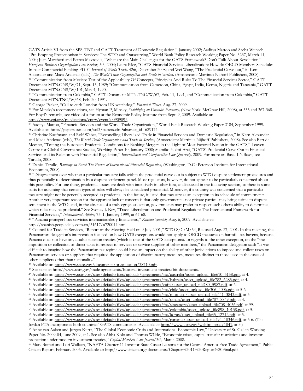GATS Article VI from the SPS, TBT and GATT Treatment of Domestic Regulation," January 2002; Aaditya Mattoo and Sacha Wunsch, "Pre-Empting Protectionism in Services: The WTO and Outsourcing," World Bank Policy Research Working Paper No. 3237, March 11, 2004; Juan Marchetti and Petros Mavroidis, "What are the Main Challenges for the GATS Framework? Don't Talk About Revolution," *European Business Organization Law Review*, 5:3, 2004; Laura Páez, "GATS Financial Services Liberalization: How do OECD Members Schedules Impact Commercial Banking FDI?" *Journal of World Trade,* 42:6, December 2008; and Wei Wang, "The Prudential Carve-out," in Kern Alexander and Mads Andenas (eds.), *The World Trade Organization and Trade in Services,* (Amsterdam: Martinus Nijhoff Publishers, 2008). <sup>34</sup> "Communication from Mexico: Test of the Applicability Of Concepts, Principles And Rules To The Financial Services Sector," GATT Document MTN.GNS/W/71, Sept. 15, 1989; "Communication from Cameroon, China, Egypt, India, Kenya, Nigeria and Tanzania," GATT Document MTN.GNS/W/101, May 4, 1990.

<sup>35</sup> "Communication from Colombia," GATT Document MTN.TNC/W/67, Feb. 11, 1991, and "Communication from Colombia," GATT Document MTN.TNC/W/68, Feb. 20, 1991.

<sup>36</sup> George Packer, "Call to curb London from UK watchdog," *Financial Times,* Aug. 27, 2009.

<sup>37</sup> For Minsky's recommendations, see Hyman P, Minsky, *Stabilizing an Unstable Ecnoomy,* (New York: McGraw Hill, 2008), at 355 and 367-368. For Boyd's remarks, see video of a forum at the Economic Policy Institute from Sept. 9, 2009. Available at:

http://www.epi.org/publications/entry/event20090909/.

<sup>38</sup> Aaditya Mattoo, "Financial Services and the World Trade Organization," World Bank Research Working Paper 2184, September 1999. Available at: http://papers.ssrn.com/sol3/papers.cfm?abstract\_id=629174

<sup>39</sup> Christine Kaufmann and Rolf Weber, "Reconciling Liberalized Trade in Financial Services and Domestic Regulation," in Kern Alexander and Mads Andenas (eds.), *The World Trade Organization and Trade in Services,* (Amsterdam: Martinus Nijhoff Publishers, 2008). See also Bart de Meester, "Testing the European Prudential Conditions for Banking Mergers in the Light of Most Favored Nation in the GATS," Leuven Centre for Global Governance Studies, Working Paper 10, January 2008; Mamiko Yokoi-Arai, "GATS' Prudential Carve Out in Financial Services and its Relation with Prudential Regulation," *International and Comparative Law Quarterly,* 2009. For more on Basel II's flaws, see Tarullo, 2008.

<sup>40</sup> Daniel Tarullo, *Banking on Basel: The Future of International Financial Regulation,* (Washington, D.C.: Peterson Institute for International Economics, 2008).

<sup>41</sup> "Disagreement over whether a particular measure falls within the prudential carve-out is subject to WTO dispute settlement procedures and thus potentially to determination by a dispute settlement panel. Most regulators, however, do not appear to be particularly concerned about this possibility. For one thing, prudential issues are dealt with intensively in other fora, as discussed in the following section, so there is some basis for assuming that certain types of rules will always be considered prudential. Moreover, if a country was concerned that a particular measure might not be generally accepted as prudential in the future, it listed that measure as an exception in its schedule of commitments. Another very important reason for the apparent lack of concern is that only governments--not private parties--may bring claims to dispute settlement in the WTO; and, in the absence of a truly egregious action, governments may prefer to respect each other's ability to determine which rules may be prudential." See Sydney J. Key, "Trade Liberalization and Prudential Regulation: The International Framework for Financial Services," *International Affairs,* 75: 1, January 1999, at 67-68.

<sup>42</sup> "Panamá protegerá sus servicios internacionales y financieros," *Xinhua Spanish,* Aug. 6, 2009. Available at:

http://spanish.peopledaily.com.cn/31617/6720014.html.

43 Council for Trade in Services, "Report of the Meeting Held on 9 July 2001," WTO S/C/M/54, Released Aug. 27, 2001. In this meeting, the Panamanian delegation's intervention focused on how GATS exceptions would not apply to OECD measures on harmful tax havens, because Panama does not have any double taxation treaties (which is one of the GATS exceptions). In regards to the other exception, on the "the imposition or collection of direct taxes in respect to services or service supplier of other members," the Panamanian delegation said: "It was difficult to imagine how the Panamanian tax regime could have an impact on the ability of other jurisdictions to impose and collect taxes on Panamanian services or suppliers that required the application of discriminatory measures, measures distinct to those used in the cases of other suppliers other than nationality."

<sup>44</sup> Available at: http://www.state.gov/documents/organization/38710.pdf.

<sup>45</sup> See texts at http://www.ustr.gov/trade-agreements/bilateral-investment-treaties/bit-documents.

46 Available at: http://www.ustr.gov/sites/default/files/uploads/agreements/fta/australia/asset\_upload\_file610\_5158.pdf, at 4.

<sup>47</sup> Available at: http://www.ustr.gov/sites/default/files/uploads/agreements/fta/bahrain/asset\_upload\_file782\_6285.pdf, at 4.

48 Available at: http://www.ustr.gov/sites/default/files/uploads/agreements/cafta/asset\_upload\_file780\_5987.pdf, at 6.

49 Available at: http://www.ustr.gov/sites/default/files/uploads/agreements/fta/chile/asset\_upload\_file306\_4006.pdf, at 5-6.

50 Available at: http://www.ustr.gov/sites/default/files/uploads/agreements/fta/morocco/asset\_upload\_file441\_3843.pdf, at 5.

<sup>51</sup> Available at: http://www.ustr.gov/sites/default/files/uploads/agreements/fta/oman/asset\_upload\_file707\_8849.pdf, at 4.

52 Available at: http://www.ustr.gov/sites/default/files/uploads/agreements/fta/singapore/asset\_upload\_file708\_4036.pdf, at 99.

53 Available at: http://www.ustr.gov/sites/default/files/uploads/agreements/fta/colombia/asset\_upload\_file898\_10138.pdf, at 5.

54 Available at: http://www.ustr.gov/sites/default/files/uploads/agreements/fta/korus/asset\_upload\_file35\_12712.pdf, at 5.

55 Available at: http://www.ustr.gov/sites/default/files/uploads/agreements/fta/panama/asset\_upload\_file494\_10346.pdf, at 5-6. (The Jordan FTA incorporates both countries' GATS commitments. Available at: http://www.ustr.gov/webfm\_send/1041, at 3.)

<sup>56</sup> Anne van Aaken and Jurgen Kurtz, "The Global Economic Crisis and International Economic Law," University of St. Gallen Working Paper No. 2009-04, June 2009, at 1. See also Abba Kolo and Thomas Wälde, "Economic crises, capital transfer restrictions and investor protection under modern investment treaties," *Capital Markets Law Journal* 3:2, March 2008.

<sup>57</sup> Mary Bottari and Lori Wallach, "NAFTA Chapter 11 Investor-State Cases: Lessons for the Central America Free Trade Agreement," Public Citizen Report, February 2005. Available at: http://www.citizen.org/documents/Chapter%2011%20Report%20Final.pdf